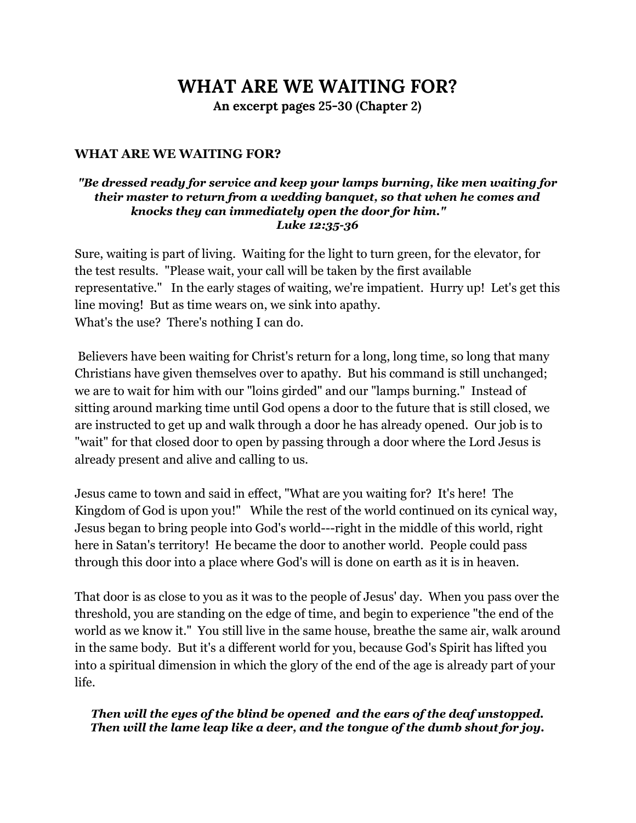# **WHAT ARE WE WAITING FOR?**

**An excerpt pages 25-30 (Chapter 2)**

## **WHAT ARE WE WAITING FOR?**

### *"Be dressed ready for service and keep your lamps burning, like men waiting for their master to return from a wedding banquet, so that when he comes and knocks they can immediately open the door for him." Luke 12:35-36*

Sure, waiting is part of living. Waiting for the light to turn green, for the elevator, for the test results. "Please wait, your call will be taken by the first available representative." In the early stages of waiting, we're impatient. Hurry up! Let's get this line moving! But as time wears on, we sink into apathy. What's the use? There's nothing I can do.

 Believers have been waiting for Christ's return for a long, long time, so long that many Christians have given themselves over to apathy. But his command is still unchanged; we are to wait for him with our "loins girded" and our "lamps burning." Instead of sitting around marking time until God opens a door to the future that is still closed, we are instructed to get up and walk through a door he has already opened. Our job is to "wait" for that closed door to open by passing through a door where the Lord Jesus is already present and alive and calling to us.

Jesus came to town and said in effect, "What are you waiting for? It's here! The Kingdom of God is upon you!" While the rest of the world continued on its cynical way, Jesus began to bring people into God's world---right in the middle of this world, right here in Satan's territory! He became the door to another world. People could pass through this door into a place where God's will is done on earth as it is in heaven.

That door is as close to you as it was to the people of Jesus' day. When you pass over the threshold, you are standing on the edge of time, and begin to experience "the end of the world as we know it." You still live in the same house, breathe the same air, walk around in the same body. But it's a different world for you, because God's Spirit has lifted you into a spiritual dimension in which the glory of the end of the age is already part of your life.

*Then will the eyes of the blind be opened and the ears of the deaf unstopped. Then will the lame leap like a deer, and the tongue of the dumb shout for joy.*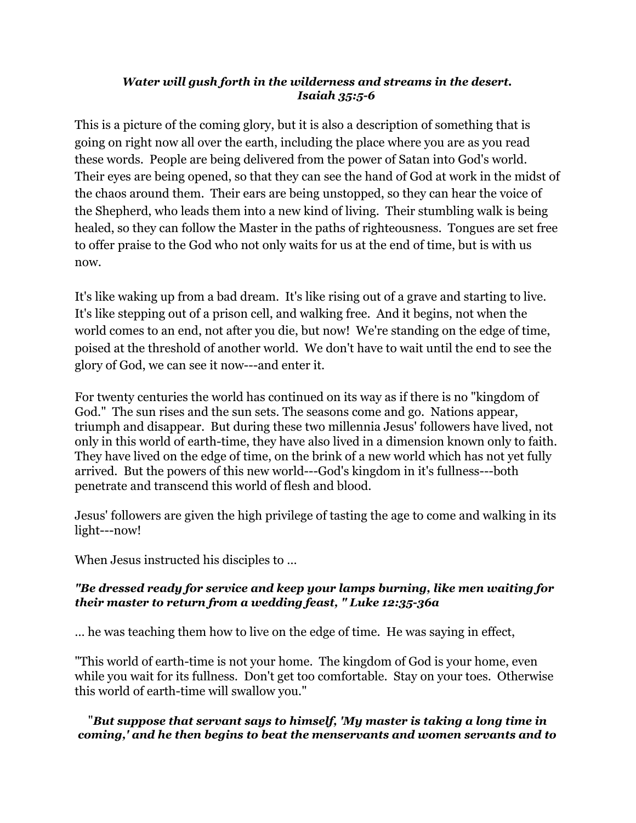### *Water will gush forth in the wilderness and streams in the desert. Isaiah 35:5-6*

This is a picture of the coming glory, but it is also a description of something that is going on right now all over the earth, including the place where you are as you read these words. People are being delivered from the power of Satan into God's world. Their eyes are being opened, so that they can see the hand of God at work in the midst of the chaos around them. Their ears are being unstopped, so they can hear the voice of the Shepherd, who leads them into a new kind of living. Their stumbling walk is being healed, so they can follow the Master in the paths of righteousness. Tongues are set free to offer praise to the God who not only waits for us at the end of time, but is with us now.

It's like waking up from a bad dream. It's like rising out of a grave and starting to live. It's like stepping out of a prison cell, and walking free. And it begins, not when the world comes to an end, not after you die, but now! We're standing on the edge of time, poised at the threshold of another world. We don't have to wait until the end to see the glory of God, we can see it now---and enter it.

For twenty centuries the world has continued on its way as if there is no "kingdom of God." The sun rises and the sun sets. The seasons come and go. Nations appear, triumph and disappear. But during these two millennia Jesus' followers have lived, not only in this world of earth-time, they have also lived in a dimension known only to faith. They have lived on the edge of time, on the brink of a new world which has not yet fully arrived. But the powers of this new world---God's kingdom in it's fullness---both penetrate and transcend this world of flesh and blood.

Jesus' followers are given the high privilege of tasting the age to come and walking in its light---now!

When Jesus instructed his disciples to …

## *"Be dressed ready for service and keep your lamps burning, like men waiting for their master to return from a wedding feast, " Luke 12:35-36a*

… he was teaching them how to live on the edge of time. He was saying in effect,

"This world of earth-time is not your home. The kingdom of God is your home, even while you wait for its fullness. Don't get too comfortable. Stay on your toes. Otherwise this world of earth-time will swallow you."

## "*But suppose that servant says to himself, 'My master is taking a long time in coming,' and he then begins to beat the menservants and women servants and to*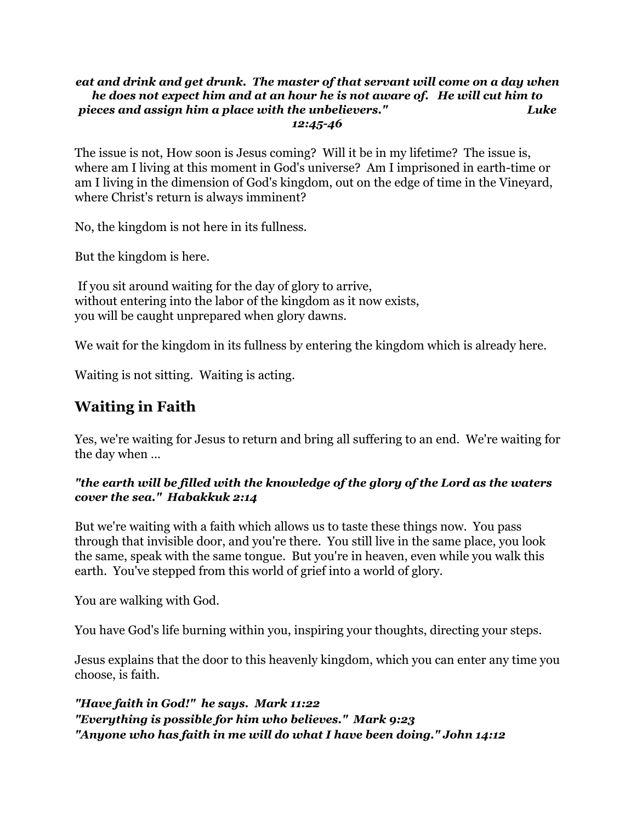#### *eat and drink and get drunk. The master of that servant will come on a day when he does not expect him and at an hour he is not aware of. He will cut him to pieces and assign him a place with the unbelievers." Luke 12:45-46*

The issue is not, How soon is Jesus coming? Will it be in my lifetime? The issue is, where am I living at this moment in God's universe? Am I imprisoned in earth-time or am I living in the dimension of God's kingdom, out on the edge of time in the Vineyard, where Christ's return is always imminent?

No, the kingdom is not here in its fullness.

But the kingdom is here.

 If you sit around waiting for the day of glory to arrive, without entering into the labor of the kingdom as it now exists, you will be caught unprepared when glory dawns.

We wait for the kingdom in its fullness by entering the kingdom which is already here.

Waiting is not sitting. Waiting is acting.

## **Waiting in Faith**

Yes, we're waiting for Jesus to return and bring all suffering to an end. We're waiting for the day when …

### *"the earth will be filled with the knowledge of the glory of the Lord as the waters cover the sea." Habakkuk 2:14*

But we're waiting with a faith which allows us to taste these things now. You pass through that invisible door, and you're there. You still live in the same place, you look the same, speak with the same tongue. But you're in heaven, even while you walk this earth. You've stepped from this world of grief into a world of glory.

You are walking with God.

You have God's life burning within you, inspiring your thoughts, directing your steps.

Jesus explains that the door to this heavenly kingdom, which you can enter any time you choose, is faith.

*"Have faith in God!" he says. Mark 11:22 "Everything is possible for him who believes." Mark 9:23 "Anyone who has faith in me will do what I have been doing." John 14:12*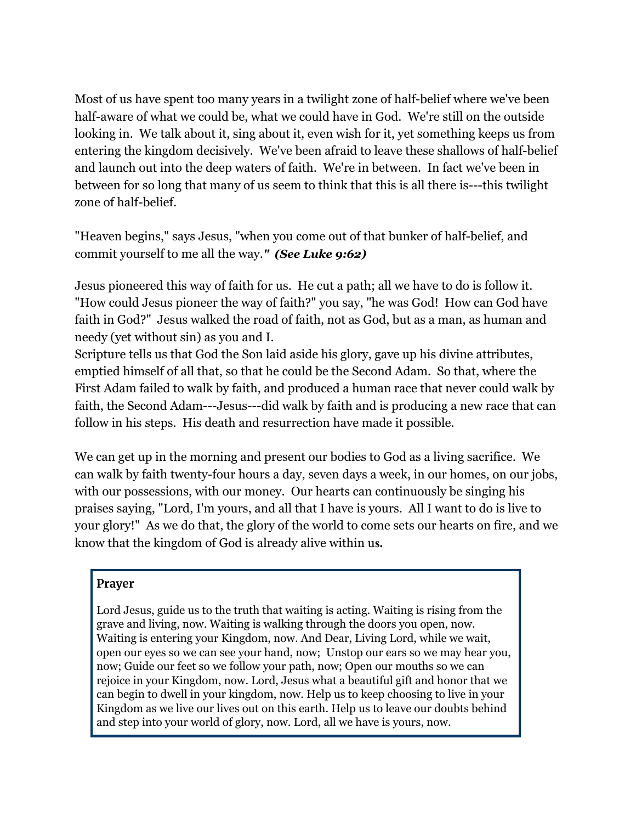Most of us have spent too many years in a twilight zone of half-belief where we've been half-aware of what we could be, what we could have in God. We're still on the outside looking in. We talk about it, sing about it, even wish for it, yet something keeps us from entering the kingdom decisively. We've been afraid to leave these shallows of half-belief and launch out into the deep waters of faith. We're in between. In fact we've been in between for so long that many of us seem to think that this is all there is---this twilight zone of half-belief.

"Heaven begins," says Jesus, "when you come out of that bunker of half-belief, and commit yourself to me all the way.*" (See Luke 9:62)*

Jesus pioneered this way of faith for us. He cut a path; all we have to do is follow it. "How could Jesus pioneer the way of faith?" you say, "he was God! How can God have faith in God?" Jesus walked the road of faith, not as God, but as a man, as human and needy (yet without sin) as you and I.

Scripture tells us that God the Son laid aside his glory, gave up his divine attributes, emptied himself of all that, so that he could be the Second Adam. So that, where the First Adam failed to walk by faith, and produced a human race that never could walk by faith, the Second Adam---Jesus---did walk by faith and is producing a new race that can follow in his steps. His death and resurrection have made it possible.

We can get up in the morning and present our bodies to God as a living sacrifice. We can walk by faith twenty-four hours a day, seven days a week, in our homes, on our jobs, with our possessions, with our money. Our hearts can continuously be singing his praises saying, "Lord, I'm yours, and all that I have is yours. All I want to do is live to your glory!" As we do that, the glory of the world to come sets our hearts on fire, and we know that the kingdom of God is already alive within u**s.**

### **Prayer**

Lord Jesus, guide us to the truth that waiting is acting. Waiting is rising from the grave and living, now. Waiting is walking through the doors you open, now. Waiting is entering your Kingdom, now. And Dear, Living Lord, while we wait, open our eyes so we can see your hand, now; Unstop our ears so we may hear you, now; Guide our feet so we follow your path, now; Open our mouths so we can rejoice in your Kingdom, now. Lord, Jesus what a beautiful gift and honor that we can begin to dwell in your kingdom, now. Help us to keep choosing to live in your Kingdom as we live our lives out on this earth. Help us to leave our doubts behind and step into your world of glory, now. Lord, all we have is yours, now.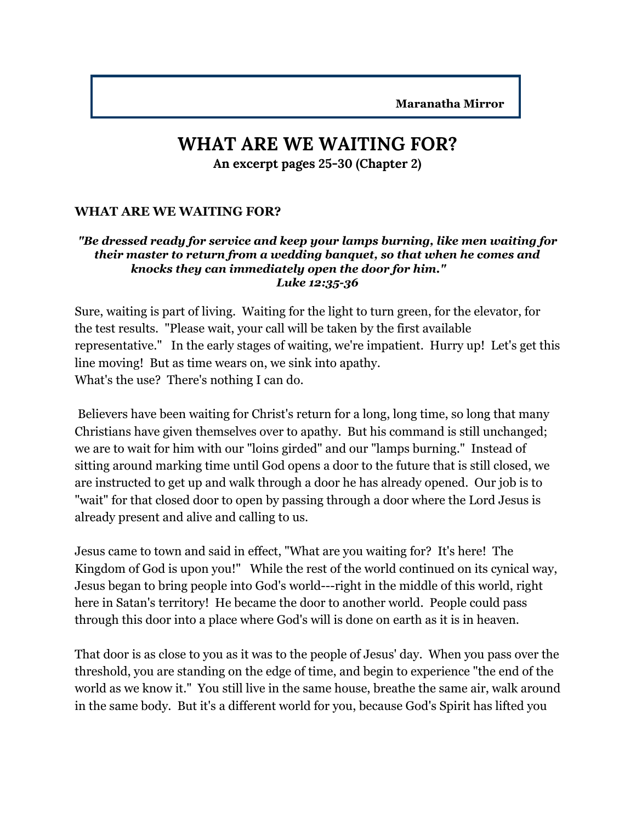# **WHAT ARE WE WAITING FOR?**

**An excerpt pages 25-30 (Chapter 2)**

### **WHAT ARE WE WAITING FOR?**

#### *"Be dressed ready for service and keep your lamps burning, like men waiting for their master to return from a wedding banquet, so that when he comes and knocks they can immediately open the door for him." Luke 12:35-36*

Sure, waiting is part of living. Waiting for the light to turn green, for the elevator, for the test results. "Please wait, your call will be taken by the first available representative." In the early stages of waiting, we're impatient. Hurry up! Let's get this line moving! But as time wears on, we sink into apathy. What's the use? There's nothing I can do.

 Believers have been waiting for Christ's return for a long, long time, so long that many Christians have given themselves over to apathy. But his command is still unchanged; we are to wait for him with our "loins girded" and our "lamps burning." Instead of sitting around marking time until God opens a door to the future that is still closed, we are instructed to get up and walk through a door he has already opened. Our job is to "wait" for that closed door to open by passing through a door where the Lord Jesus is already present and alive and calling to us.

Jesus came to town and said in effect, "What are you waiting for? It's here! The Kingdom of God is upon you!" While the rest of the world continued on its cynical way, Jesus began to bring people into God's world---right in the middle of this world, right here in Satan's territory! He became the door to another world. People could pass through this door into a place where God's will is done on earth as it is in heaven.

That door is as close to you as it was to the people of Jesus' day. When you pass over the threshold, you are standing on the edge of time, and begin to experience "the end of the world as we know it." You still live in the same house, breathe the same air, walk around in the same body. But it's a different world for you, because God's Spirit has lifted you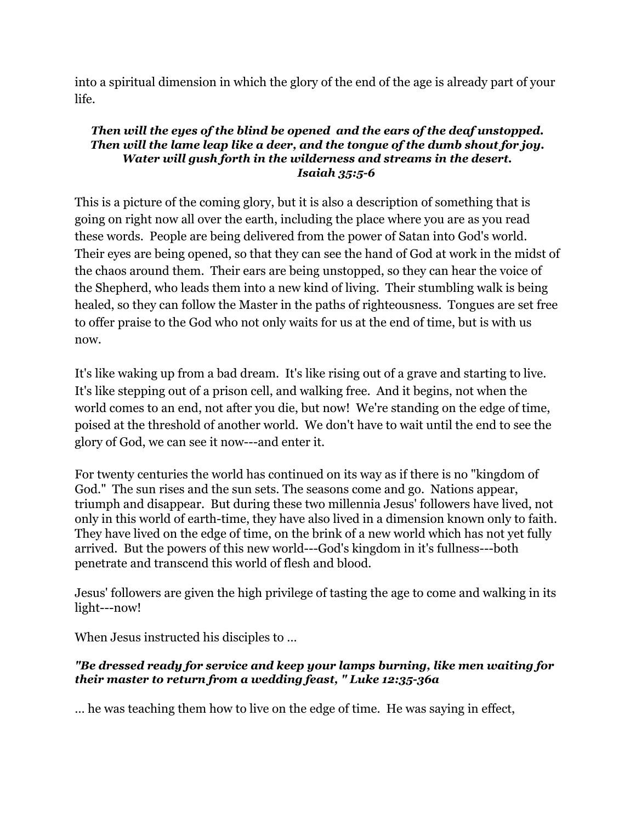into a spiritual dimension in which the glory of the end of the age is already part of your life.

### *Then will the eyes of the blind be opened and the ears of the deaf unstopped. Then will the lame leap like a deer, and the tongue of the dumb shout for joy. Water will gush forth in the wilderness and streams in the desert. Isaiah 35:5-6*

This is a picture of the coming glory, but it is also a description of something that is going on right now all over the earth, including the place where you are as you read these words. People are being delivered from the power of Satan into God's world. Their eyes are being opened, so that they can see the hand of God at work in the midst of the chaos around them. Their ears are being unstopped, so they can hear the voice of the Shepherd, who leads them into a new kind of living. Their stumbling walk is being healed, so they can follow the Master in the paths of righteousness. Tongues are set free to offer praise to the God who not only waits for us at the end of time, but is with us now.

It's like waking up from a bad dream. It's like rising out of a grave and starting to live. It's like stepping out of a prison cell, and walking free. And it begins, not when the world comes to an end, not after you die, but now! We're standing on the edge of time, poised at the threshold of another world. We don't have to wait until the end to see the glory of God, we can see it now---and enter it.

For twenty centuries the world has continued on its way as if there is no "kingdom of God." The sun rises and the sun sets. The seasons come and go. Nations appear, triumph and disappear. But during these two millennia Jesus' followers have lived, not only in this world of earth-time, they have also lived in a dimension known only to faith. They have lived on the edge of time, on the brink of a new world which has not yet fully arrived. But the powers of this new world---God's kingdom in it's fullness---both penetrate and transcend this world of flesh and blood.

Jesus' followers are given the high privilege of tasting the age to come and walking in its light---now!

When Jesus instructed his disciples to …

## *"Be dressed ready for service and keep your lamps burning, like men waiting for their master to return from a wedding feast, " Luke 12:35-36a*

… he was teaching them how to live on the edge of time. He was saying in effect,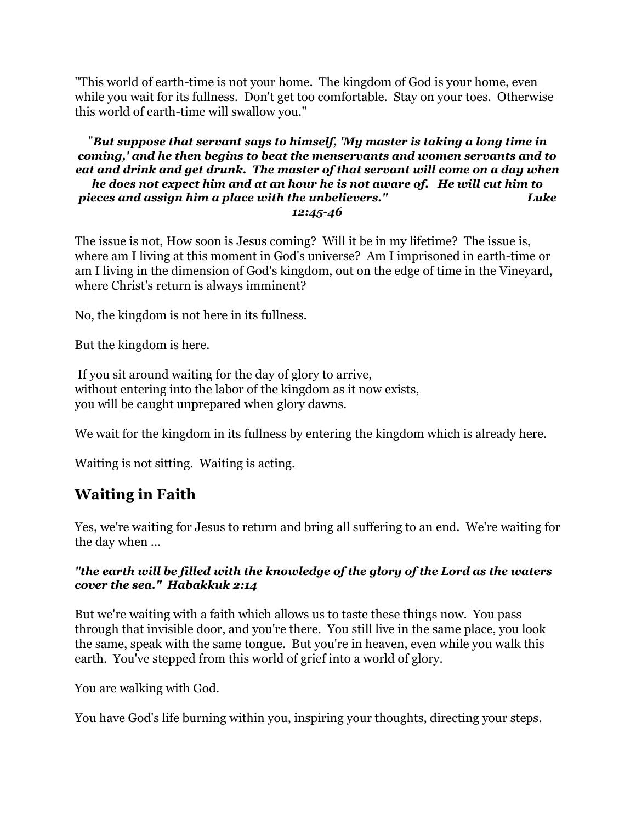"This world of earth-time is not your home. The kingdom of God is your home, even while you wait for its fullness. Don't get too comfortable. Stay on your toes. Otherwise this world of earth-time will swallow you."

#### "*But suppose that servant says to himself, 'My master is taking a long time in coming,' and he then begins to beat the menservants and women servants and to eat and drink and get drunk. The master of that servant will come on a day when he does not expect him and at an hour he is not aware of. He will cut him to pieces and assign him a place with the unbelievers." Luke 12:45-46*

The issue is not, How soon is Jesus coming? Will it be in my lifetime? The issue is, where am I living at this moment in God's universe? Am I imprisoned in earth-time or am I living in the dimension of God's kingdom, out on the edge of time in the Vineyard, where Christ's return is always imminent?

No, the kingdom is not here in its fullness.

But the kingdom is here.

 If you sit around waiting for the day of glory to arrive, without entering into the labor of the kingdom as it now exists, you will be caught unprepared when glory dawns.

We wait for the kingdom in its fullness by entering the kingdom which is already here.

Waiting is not sitting. Waiting is acting.

## **Waiting in Faith**

Yes, we're waiting for Jesus to return and bring all suffering to an end. We're waiting for the day when …

### *"the earth will be filled with the knowledge of the glory of the Lord as the waters cover the sea." Habakkuk 2:14*

But we're waiting with a faith which allows us to taste these things now. You pass through that invisible door, and you're there. You still live in the same place, you look the same, speak with the same tongue. But you're in heaven, even while you walk this earth. You've stepped from this world of grief into a world of glory.

You are walking with God.

You have God's life burning within you, inspiring your thoughts, directing your steps.